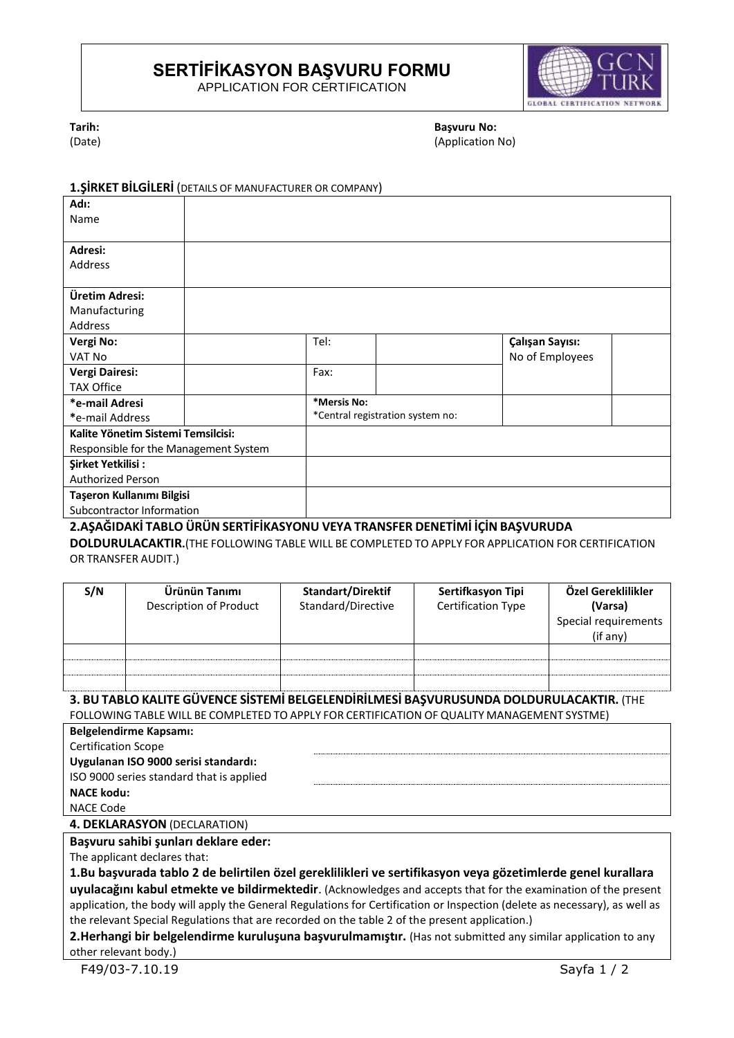# **SERTİFİKASYON BAŞVURU FORMU**

APPLICATION FOR CERTIFICATION



**Tarih:**

(Date)

**Başvuru No:** (Application No)

#### **1.ŞİRKET BİLGİLERİ** (DETAILS OF MANUFACTURER OR COMPANY)

| Adı:                                                                         |  |                                  |  |                 |  |
|------------------------------------------------------------------------------|--|----------------------------------|--|-----------------|--|
| Name                                                                         |  |                                  |  |                 |  |
|                                                                              |  |                                  |  |                 |  |
| Adresi:                                                                      |  |                                  |  |                 |  |
| Address                                                                      |  |                                  |  |                 |  |
|                                                                              |  |                                  |  |                 |  |
| Üretim Adresi:                                                               |  |                                  |  |                 |  |
| Manufacturing                                                                |  |                                  |  |                 |  |
| <b>Address</b>                                                               |  |                                  |  |                 |  |
| Vergi No:                                                                    |  | Tel:                             |  | Çalışan Sayısı: |  |
| VAT No                                                                       |  |                                  |  | No of Employees |  |
| Vergi Dairesi:                                                               |  | Fax:                             |  |                 |  |
| <b>TAX Office</b>                                                            |  |                                  |  |                 |  |
| *e-mail Adresi                                                               |  | *Mersis No:                      |  |                 |  |
| *e-mail Address                                                              |  | *Central registration system no: |  |                 |  |
| Kalite Yönetim Sistemi Temsilcisi:                                           |  |                                  |  |                 |  |
| Responsible for the Management System                                        |  |                                  |  |                 |  |
| Sirket Yetkilisi:                                                            |  |                                  |  |                 |  |
| <b>Authorized Person</b>                                                     |  |                                  |  |                 |  |
| Taşeron Kullanımı Bilgisi                                                    |  |                                  |  |                 |  |
| Subcontractor Information                                                    |  |                                  |  |                 |  |
| 2. ASAĞIDAKİ TABLO ÜRÜN SERTİFİKASYONU VEYA TRANSFER DENETİMİ İCİN BASVURUDA |  |                                  |  |                 |  |

### **2.AŞAĞIDAKİ TABLO ÜRÜN SERTİFİKASYONU VEYA TRANSFER DENETİMİ İÇİN BAŞVURUDA**

**DOLDURULACAKTIR.**(THE FOLLOWING TABLE WILL BE COMPLETED TO APPLY FOR APPLICATION FOR CERTIFICATION OR TRANSFER AUDIT.)

| S/N | Ürünün Tanımı<br>Description of Product | Standart/Direktif<br>Standard/Directive | Sertifkasyon Tipi<br><b>Certification Type</b> | Özel Gereklilikler<br>(Varsa)    |
|-----|-----------------------------------------|-----------------------------------------|------------------------------------------------|----------------------------------|
|     |                                         |                                         |                                                | Special requirements<br>(if any) |
|     |                                         |                                         |                                                |                                  |
|     |                                         |                                         |                                                |                                  |
|     |                                         |                                         |                                                |                                  |

#### **3. BU TABLO KALITE GÜVENCE SİSTEMİ BELGELENDİRİLMESİ BAŞVURUSUNDA DOLDURULACAKTIR.** (THE FOLLOWING TABLE WILL BE COMPLETED TO APPLY FOR CERTIFICATION OF QUALITY MANAGEMENT SYSTME)

| <b>Belgelendirme Kapsamı:</b>            |  |
|------------------------------------------|--|
| <b>Certification Scope</b>               |  |
| Uygulanan ISO 9000 serisi standardı:     |  |
| ISO 9000 series standard that is applied |  |
| <b>NACE kodu:</b>                        |  |
| NACE Code                                |  |

#### **4. DEKLARASYON** (DECLARATION)

#### **Başvuru sahibi şunları deklare eder:**

The applicant declares that:

**1.Bu başvurada tablo 2 de belirtilen özel gereklilikleri ve sertifikasyon veya gözetimlerde genel kurallara uyulacağını kabul etmekte ve bildirmektedir**. (Acknowledges and accepts that for the examination of the present application, the body will apply the General Regulations for Certification or Inspection (delete as necessary), as well as the relevant Special Regulations that are recorded on the table 2 of the present application.)

#### **2.Herhangi bir belgelendirme kuruluşuna başvurulmamıştır.** (Has not submitted any similar application to any other relevant body.)